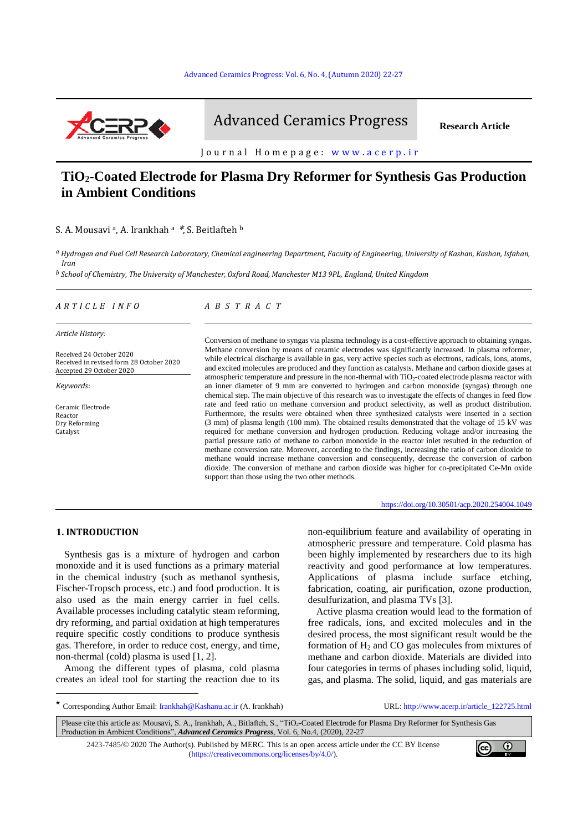

Advanced Ceramics Progress Research Article

Journal Homepage: www.acerp.ir

# **TiO2-Coated Electrode for Plasma Dry Reformer for Synthesis Gas Production in Ambient Conditions**

#### S. A. Mousavi<sup>a</sup>, A. Irankhah <sup>a</sup> \*, S. Beitlafteh <sup>b</sup>

*<sup>a</sup> Hydrogen and Fuel Cell Research Laboratory, Chemical engineering Department, Faculty of Engineering, University of Kashan, Kashan, Isfahan, Iran*

*<sup>b</sup> School of Chemistry, The University of Manchester, Oxford Road, Manchester M13 9PL, England, United Kingdom*

#### *A R T I C L E I N F O A B S T R A C T*

*Article History:*

Received 24 October 2020 Received in revised form 28 October 2020 Accepted 29 October 2020

*Keywords*:

Ceramic Electrode Reactor Dry Reforming Catalyst

Conversion of methane to syngas via plasma technology is a cost-effective approach to obtaining syngas. Methane conversion by means of ceramic electrodes was significantly increased. In plasma reformer, while electrical discharge is available in gas, very active species such as electrons, radicals, ions, atoms, and excited molecules are produced and they function as catalysts. Methane and carbon dioxide gases at atmospheric temperature and pressure in the non-thermal with TiO2-coated electrode plasma reactor with an inner diameter of 9 mm are converted to hydrogen and carbon monoxide (syngas) through one chemical step. The main objective of this research was to investigate the effects of changes in feed flow rate and feed ratio on methane conversion and product selectivity, as well as product distribution. Furthermore, the results were obtained when three synthesized catalysts were inserted in a section (3 mm) of plasma length (100 mm). The obtained results demonstrated that the voltage of 15 kV was required for methane conversion and hydrogen production. Reducing voltage and/or increasing the partial pressure ratio of methane to carbon monoxide in the reactor inlet resulted in the reduction of methane conversion rate. Moreover, according to the findings, increasing the ratio of carbon dioxide to methane would increase methane conversion and consequently, decrease the conversion of carbon dioxide. The conversion of methane and carbon dioxide was higher for co-precipitated Ce-Mn oxide support than those using the two other methods.

#### <https://doi.org/10.30501/acp.2020.254004.1049>

#### **1. INTRODUCTION**

**.** 

Synthesis gas is a mixture of hydrogen and carbon monoxide and it is used functions as a primary material in the chemical industry (such as methanol synthesis, Fischer-Tropsch process, etc.) and food production. It is also used as the main energy carrier in fuel cells. Available processes including catalytic steam reforming, dry reforming, and partial oxidation at high temperatures require specific costly conditions to produce synthesis gas. Therefore, in order to reduce cost, energy, and time, non-thermal (cold) plasma is used [\[1,](#page-4-0) [2\]](#page-4-1).

Among the different types of plasma, cold plasma creates an ideal tool for starting the reaction due to its non-equilibrium feature and availability of operating in atmospheric pressure and temperature. Cold plasma has been highly implemented by researchers due to its high reactivity and good performance at low temperatures. Applications of plasma include surface etching, fabrication, coating, air purification, ozone production, desulfurization, and plasma TVs [\[3\]](#page-4-2).

Active plasma creation would lead to the formation of free radicals, ions, and excited molecules and in the desired process, the most significant result would be the formation of  $H_2$  and CO gas molecules from mixtures of methane and carbon dioxide. Materials are divided into four categories in terms of phases including solid, liquid, gas, and plasma. The solid, liquid, and gas materials are

\* Corresponding Author Email[: Irankhah@Kashanu.ac.ir](mailto:Irankhah@Kashanu.ac.ir) (A. Irankhah) URL: [http://www.acerp.ir/article\\_122725.html](http://www.acerp.ir/article_122725.html)

Please cite this article as: Mousavi, S. A., Irankhah, A., Bitlafteh, S., "TiO<sub>2</sub>-Coated Electrode for Plasma Dry Reformer for Synthesis Gas Production in Ambient Conditions", *Advanced Ceramics Progress*, Vol. 6, No.4, (2020), 22-27

2423-7485/© 2020 The Author(s). Published by [MERC.](https://en.merc.ac.ir/) This is an open access article under the CC BY license [\(https://creativecommons.org/licenses/by/4.0/\)](https://creativecommons.org/licenses/by/4.0/).

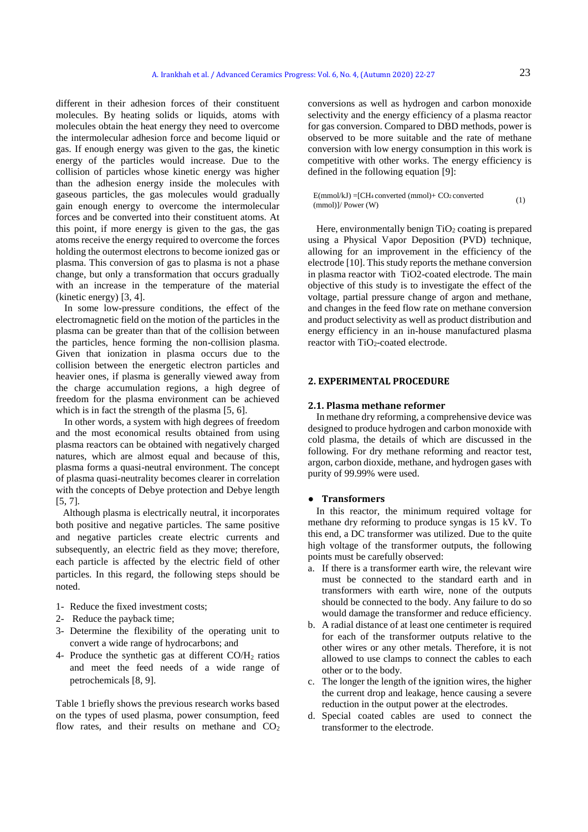different in their adhesion forces of their constituent molecules. By heating solids or liquids, atoms with molecules obtain the heat energy they need to overcome the intermolecular adhesion force and become liquid or gas. If enough energy was given to the gas, the kinetic energy of the particles would increase. Due to the collision of particles whose kinetic energy was higher than the adhesion energy inside the molecules with gaseous particles, the gas molecules would gradually gain enough energy to overcome the intermolecular forces and be converted into their constituent atoms. At this point, if more energy is given to the gas, the gas atoms receive the energy required to overcome the forces holding the outermost electrons to become ionized gas or plasma. This conversion of gas to plasma is not a phase change, but only a transformation that occurs gradually with an increase in the temperature of the material (kinetic energy) [\[3,](#page-4-2) [4\]](#page-4-3).

In some low-pressure conditions, the effect of the electromagnetic field on the motion of the particles in the plasma can be greater than that of the collision between the particles, hence forming the non-collision plasma. Given that ionization in plasma occurs due to the collision between the energetic electron particles and heavier ones, if plasma is generally viewed away from the charge accumulation regions, a high degree of freedom for the plasma environment can be achieved which is in fact the strength of the plasma [\[5,](#page-4-4) [6\]](#page-4-5).

In other words, a system with high degrees of freedom and the most economical results obtained from using plasma reactors can be obtained with negatively charged natures, which are almost equal and because of this, plasma forms a quasi-neutral environment. The concept of plasma quasi-neutrality becomes clearer in correlation with the concepts of Debye protection and Debye length [\[5,](#page-4-4) [7\]](#page-5-0).

Although plasma is electrically neutral, it incorporates both positive and negative particles. The same positive and negative particles create electric currents and subsequently, an electric field as they move; therefore, each particle is affected by the electric field of other particles. In this regard, the following steps should be noted.

- 1- Reduce the fixed investment costs;
- 2- Reduce the payback time;
- 3- Determine the flexibility of the operating unit to convert a wide range of hydrocarbons; and
- 4- Produce the synthetic gas at different CO/H<sup>2</sup> ratios and meet the feed needs of a wide range of petrochemicals [\[8,](#page-5-1) [9\]](#page-5-2).

Table 1 briefly shows the previous research works based on the types of used plasma, power consumption, feed flow rates, and their results on methane and  $CO<sub>2</sub>$ 

conversions as well as hydrogen and carbon monoxide selectivity and the energy efficiency of a plasma reactor for gas conversion. Compared to DBD methods, power is observed to be more suitable and the rate of methane conversion with low energy consumption in this work is competitive with other works. The energy efficiency is defined in the following equation [\[9\]](#page-5-2):

E(mmol/kJ) =[CH4 converted (mmol)+ CO2 converted (mmol)]/ Power (W) (1)

Here, environmentally benign  $TiO<sub>2</sub>$  coating is prepared using a Physical Vapor Deposition (PVD) technique, allowing for an improvement in the efficiency of the electrode [\[10\]](#page-5-3). This study reports the methane conversion in plasma reactor with TiO2-coated electrode. The main objective of this study is to investigate the effect of the voltage, partial pressure change of argon and methane, and changes in the feed flow rate on methane conversion and product selectivity as well as product distribution and energy efficiency in an in-house manufactured plasma reactor with TiO<sub>2</sub>-coated electrode.

## **2. EXPERIMENTAL PROCEDURE**

### **2.1. Plasma methane reformer**

In methane dry reforming, a comprehensive device was designed to produce hydrogen and carbon monoxide with cold plasma, the details of which are discussed in the following. For dry methane reforming and reactor test, argon, carbon dioxide, methane, and hydrogen gases with purity of 99.99% were used.

## ● **Transformers**

In this reactor, the minimum required voltage for methane dry reforming to produce syngas is 15 kV. To this end, a DC transformer was utilized. Due to the quite high voltage of the transformer outputs, the following points must be carefully observed:

- a. If there is a transformer earth wire, the relevant wire must be connected to the standard earth and in transformers with earth wire, none of the outputs should be connected to the body. Any failure to do so would damage the transformer and reduce efficiency.
- b. A radial distance of at least one centimeter is required for each of the transformer outputs relative to the other wires or any other metals. Therefore, it is not allowed to use clamps to connect the cables to each other or to the body.
- c. The longer the length of the ignition wires, the higher the current drop and leakage, hence causing a severe reduction in the output power at the electrodes.
- d. Special coated cables are used to connect the transformer to the electrode.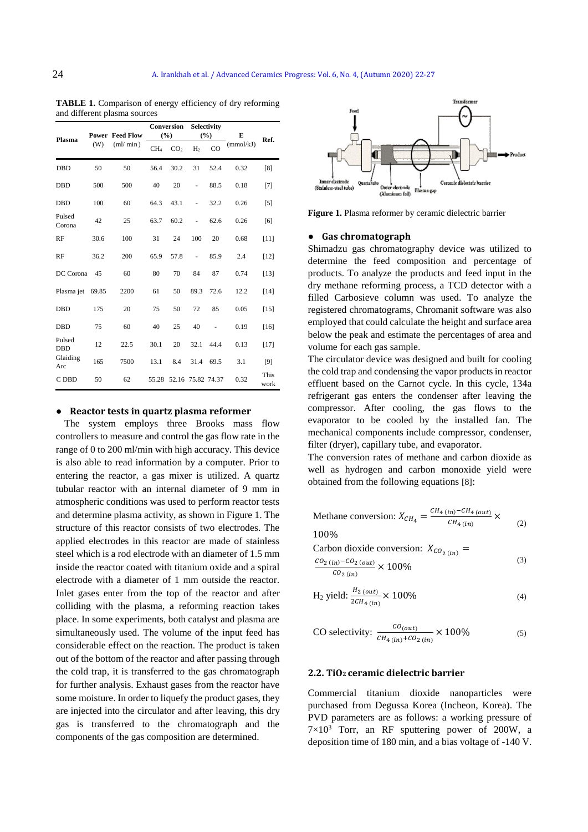| Plasma               | (W)   | <b>Power Feed Flow</b><br>(ml/min) | Conversion<br>(%) |                         | Selectivity<br>(%) |      | E         |              |
|----------------------|-------|------------------------------------|-------------------|-------------------------|--------------------|------|-----------|--------------|
|                      |       |                                    | CH <sub>4</sub>   | CO <sub>2</sub>         | H <sub>2</sub>     | CO   | (mmol/kJ) | Ref.         |
| DBD                  | 50    | 50                                 | 56.4              | 30.2                    | 31                 | 52.4 | 0.32      | [8]          |
| <b>DBD</b>           | 500   | 500                                | 40                | 20                      | ä,                 | 88.5 | 0.18      | [7]          |
| <b>DBD</b>           | 100   | 60                                 | 64.3              | 43.1                    | ÷,                 | 32.2 | 0.26      | [5]          |
| Pulsed<br>Corona     | 42    | 25                                 | 63.7              | 60.2                    |                    | 62.6 | 0.26      | [6]          |
| RF                   | 30.6  | 100                                | 31                | 24                      | 100                | 20   | 0.68      | [11]         |
| <b>RF</b>            | 36.2  | 200                                | 65.9              | 57.8                    |                    | 85.9 | 2.4       | $[12]$       |
| DC Corona            | 45    | 60                                 | 80                | 70                      | 84                 | 87   | 0.74      | $[13]$       |
| Plasma jet           | 69.85 | 2200                               | 61                | 50                      | 89.3               | 72.6 | 12.2      | $[14]$       |
| <b>DBD</b>           | 175   | 20                                 | 75                | 50                      | 72                 | 85   | 0.05      | $[15]$       |
| <b>DBD</b>           | 75    | 60                                 | 40                | 25                      | 40                 | ÷,   | 0.19      | $[16]$       |
| Pulsed<br><b>DBD</b> | 12    | 22.5                               | 30.1              | 20                      | 32.1               | 44.4 | 0.13      | $[17]$       |
| Glaiding<br>Arc      | 165   | 7500                               | 13.1              | 8.4                     | 31.4               | 69.5 | 3.1       | $[9]$        |
| C DBD                | 50    | 62                                 |                   | 55.28 52.16 75.82 74.37 |                    |      | 0.32      | This<br>work |

**TABLE 1.** Comparison of energy efficiency of dry reforming and different plasma sources

#### ● **Reactor tests in quartz plasma reformer**

The system employs three Brooks mass flow controllers to measure and control the gas flow rate in the range of 0 to 200 ml/min with high accuracy. This device is also able to read information by a computer. Prior to entering the reactor, a gas mixer is utilized. A quartz tubular reactor with an internal diameter of 9 mm in atmospheric conditions was used to perform reactor tests and determine plasma activity, as shown in Figure 1. The structure of this reactor consists of two electrodes. The applied electrodes in this reactor are made of stainless steel which is a rod electrode with an diameter of 1.5 mm inside the reactor coated with titanium oxide and a spiral electrode with a diameter of 1 mm outside the reactor. Inlet gases enter from the top of the reactor and after colliding with the plasma, a reforming reaction takes place. In some experiments, both catalyst and plasma are simultaneously used. The volume of the input feed has considerable effect on the reaction. The product is taken out of the bottom of the reactor and after passing through the cold trap, it is transferred to the gas chromatograph for further analysis. Exhaust gases from the reactor have some moisture. In order to liquefy the product gases, they are injected into the circulator and after leaving, this dry gas is transferred to the chromatograph and the components of the gas composition are determined.



**Figure 1.** Plasma reformer by ceramic dielectric barrier

#### ● **Gas chromatograph**

Shimadzu gas chromatography device was utilized to determine the feed composition and percentage of products. To analyze the products and feed input in the dry methane reforming process, a TCD detector with a filled Carbosieve column was used. To analyze the registered chromatograms, Chromanit software was also employed that could calculate the height and surface area below the peak and estimate the percentages of area and volume for each gas sample.

The circulator device was designed and built for cooling the cold trap and condensing the vapor products in reactor effluent based on the Carnot cycle. In this cycle, 134a refrigerant gas enters the condenser after leaving the compressor. After cooling, the gas flows to the evaporator to be cooled by the installed fan. The mechanical components include compressor, condenser, filter (dryer), capillary tube, and evaporator.

The conversion rates of methane and carbon dioxide as well as hydrogen and carbon monoxide yield were obtained from the following equations [\[8\]](#page-5-1):

| Methane conversion: $X_{CH_A} = \frac{CH_{4}(in) - CH_{4}(out)}{m} \times$ | $CH_{4(in)}$ | (2) |
|----------------------------------------------------------------------------|--------------|-----|
| 100%                                                                       |              |     |
| Carbon dioxide conversion: $X_{CO_2(in)} =$                                |              |     |

$$
\frac{co_{2(in)} - co_{2(in)}}{co_{2(in)}} \times 100\%
$$
\n(3)

H<sub>2</sub> yield: 
$$
\frac{H_{2\text{(out)}}}{2CH_{4\text{(in)}}} \times 100\%
$$
 (4)

CO selectivity: 
$$
\frac{CO_{(out)}}{CH_{4(in)} + CO_{2(in)}} \times 100\%
$$
 (5)

### **2.2. TiO2 ceramic dielectric barrier**

Commercial titanium dioxide nanoparticles were purchased from Degussa Korea (Incheon, Korea). The PVD parameters are as follows: a working pressure of  $7\times10^3$  Torr, an RF sputtering power of 200W, a deposition time of 180 min, and a bias voltage of -140 V.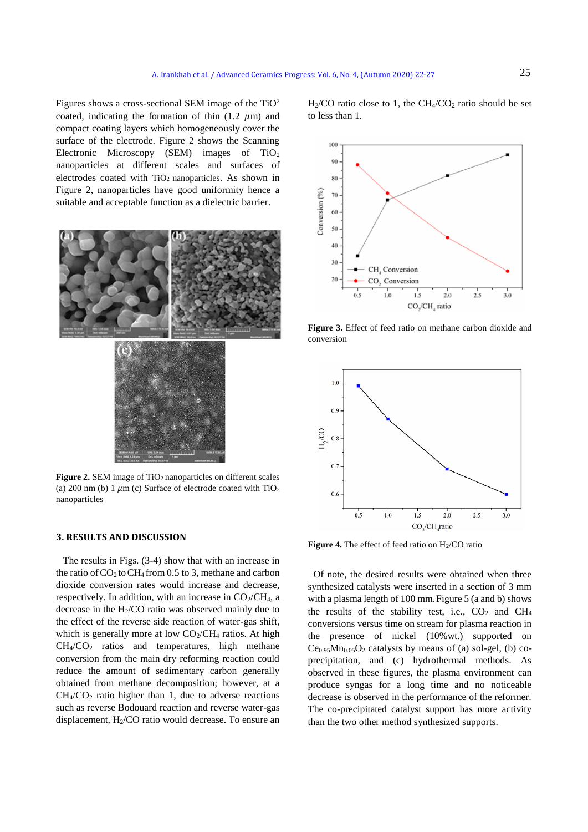Figures shows a cross-sectional SEM image of the  $TiO<sup>2</sup>$ coated, indicating the formation of thin  $(1.2 \mu m)$  and compact coating layers which homogeneously cover the surface of the electrode. Figure 2 shows the Scanning Electronic Microscopy (SEM) images of  $TiO<sub>2</sub>$ nanoparticles at different scales and surfaces of electrodes coated with TiO2 nanoparticles. As shown in Figure 2, nanoparticles have good uniformity hence a suitable and acceptable function as a dielectric barrier.





Figure 2. SEM image of TiO<sub>2</sub> nanoparticles on different scales (a) 200 nm (b) 1  $\mu$ m (c) Surface of electrode coated with TiO<sub>2</sub> nanoparticles

## **3. RESULTS AND DISCUSSION**

The results in Figs. (3-4) show that with an increase in the ratio of  $CO<sub>2</sub>$  to  $CH<sub>4</sub>$  from 0.5 to 3, methane and carbon dioxide conversion rates would increase and decrease, respectively. In addition, with an increase in  $CO_2/CH_4$ , a decrease in the  $H<sub>2</sub>/CO$  ratio was observed mainly due to the effect of the reverse side reaction of water-gas shift, which is generally more at low  $CO_2/CH_4$  ratios. At high  $CH<sub>4</sub>/CO<sub>2</sub>$  ratios and temperatures, high methane conversion from the main dry reforming reaction could reduce the amount of sedimentary carbon generally obtained from methane decomposition; however, at a  $CH<sub>4</sub>/CO<sub>2</sub>$  ratio higher than 1, due to adverse reactions such as reverse Bodouard reaction and reverse water-gas displacement,  $H<sub>2</sub>/CO$  ratio would decrease. To ensure an

 $H<sub>2</sub>/CO$  ratio close to 1, the  $CH<sub>4</sub>/CO<sub>2</sub>$  ratio should be set to less than 1.



**Figure 3.** Effect of feed ratio on methane carbon dioxide and conversion



Figure 4. The effect of feed ratio on H<sub>2</sub>/CO ratio

Of note, the desired results were obtained when three synthesized catalysts were inserted in a section of 3 mm with a plasma length of 100 mm. Figure 5 (a and b) shows the results of the stability test, i.e.,  $CO<sub>2</sub>$  and  $CH<sub>4</sub>$ conversions versus time on stream for plasma reaction in the presence of nickel (10%wt.) supported on  $Ce<sub>0.95</sub>Mn<sub>0.05</sub>O<sub>2</sub>$  catalysts by means of (a) sol-gel, (b) coprecipitation, and (c) hydrothermal methods. As observed in these figures, the plasma environment can produce syngas for a long time and no noticeable decrease is observed in the performance of the reformer. The co-precipitated catalyst support has more activity than the two other method synthesized supports.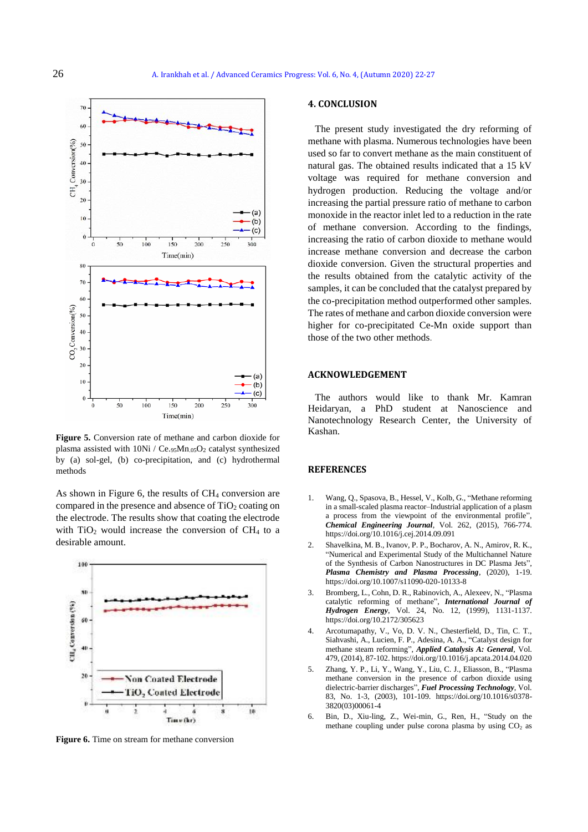

**Figure 5.** Conversion rate of methane and carbon dioxide for plasma assisted with 10Ni / Ce.95Mn.05O<sup>2</sup> catalyst synthesized by (a) sol-gel, (b) co-precipitation, and (c) hydrothermal methods

As shown in Figure 6, the results of  $CH<sub>4</sub>$  conversion are compared in the presence and absence of  $TiO<sub>2</sub>$  coating on the electrode. The results show that coating the electrode with  $TiO<sub>2</sub>$  would increase the conversion of CH<sub>4</sub> to a desirable amount.



**Figure 6.** Time on stream for methane conversion

#### **4. CONCLUSION**

The present study investigated the dry reforming of methane with plasma. Numerous technologies have been used so far to convert methane as the main constituent of natural gas. The obtained results indicated that a 15 kV voltage was required for methane conversion and hydrogen production. Reducing the voltage and/or increasing the partial pressure ratio of methane to carbon monoxide in the reactor inlet led to a reduction in the rate of methane conversion. According to the findings, increasing the ratio of carbon dioxide to methane would increase methane conversion and decrease the carbon dioxide conversion. Given the structural properties and the results obtained from the catalytic activity of the samples, it can be concluded that the catalyst prepared by the co-precipitation method outperformed other samples. The rates of methane and carbon dioxide conversion were higher for co-precipitated Ce-Mn oxide support than those of the two other methods.

## **ACKNOWLEDGEMENT**

The authors would like to thank Mr. Kamran Heidaryan, a PhD student at Nanoscience and Nanotechnology Research Center, the University of Kashan.

## **REFERENCES**

- <span id="page-4-0"></span>1. Wang, Q., Spasova, B., Hessel, V., Kolb, G., "Methane reforming in a small-scaled plasma reactor–Industrial application of a plasm a process from the viewpoint of the environmental profile", *Chemical Engineering Journal*, Vol. 262, (2015), 766-774. <https://doi.org/10.1016/j.cej.2014.09.091>
- <span id="page-4-1"></span>2. Shavelkina, M. B., Ivanov, P. P., Bocharov, A. N., Amirov, R. K., "Numerical and Experimental Study of the Multichannel Nature of the Synthesis of Carbon Nanostructures in DC Plasma Jets", *Plasma Chemistry and Plasma Processing*, (2020), 1-19. <https://doi.org/10.1007/s11090-020-10133-8>
- <span id="page-4-2"></span>3. Bromberg, L., Cohn, D. R., Rabinovich, A., Alexeev, N., "Plasma catalytic reforming of methane", *International Journal of Hydrogen Energy*, Vol. 24, No. 12, (1999), 1131-1137. <https://doi.org/10.2172/305623>
- <span id="page-4-3"></span>4. Arcotumapathy, V., Vo, D. V. N., Chesterfield, D., Tin, C. T., Siahvashi, A., Lucien, F. P., Adesina, A. A., "Catalyst design for methane steam reforming", *Applied Catalysis A: General*, Vol. 479, (2014), 87-102[. https://doi.org/10.1016/j.apcata.2014.04.020](https://doi.org/10.1016/j.apcata.2014.04.020)
- <span id="page-4-4"></span>5. Zhang, Y. P., Li, Y., Wang, Y., Liu, C. J., Eliasson, B., "Plasma methane conversion in the presence of carbon dioxide using dielectric-barrier discharges", *Fuel Processing Technology*, Vol. 83, No. 1-3, (2003), 101-109. [https://doi.org/10.1016/s0378-](https://doi.org/10.1016/s0378-3820(03)00061-4) [3820\(03\)00061-4](https://doi.org/10.1016/s0378-3820(03)00061-4)
- <span id="page-4-5"></span>6. Bin, D., Xiu-ling, Z., Wei-min, G., Ren, H., "Study on the methane coupling under pulse corona plasma by using  $CO<sub>2</sub>$  as